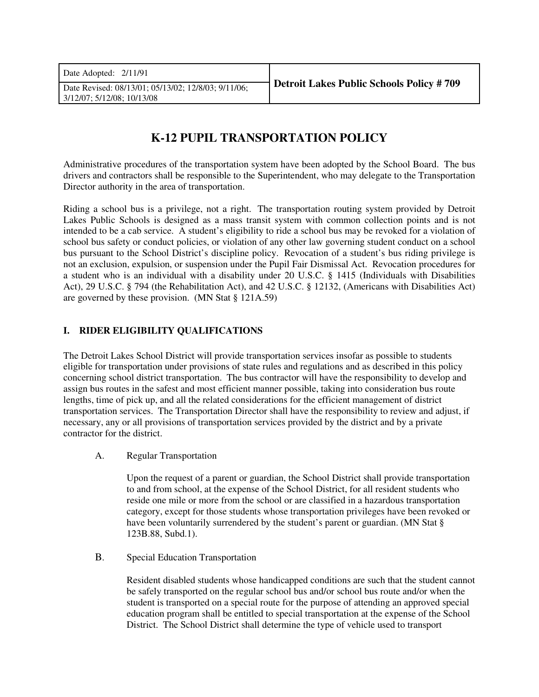| Date Adopted: $2/11/91$                                                           |                                                 |
|-----------------------------------------------------------------------------------|-------------------------------------------------|
| Date Revised: 08/13/01; 05/13/02; 12/8/03; 9/11/06;<br>3/12/07: 5/12/08: 10/13/08 | <b>Detroit Lakes Public Schools Policy #709</b> |
|                                                                                   |                                                 |

# **K-12 PUPIL TRANSPORTATION POLICY**

Administrative procedures of the transportation system have been adopted by the School Board. The bus drivers and contractors shall be responsible to the Superintendent, who may delegate to the Transportation Director authority in the area of transportation.

Riding a school bus is a privilege, not a right. The transportation routing system provided by Detroit Lakes Public Schools is designed as a mass transit system with common collection points and is not intended to be a cab service. A student's eligibility to ride a school bus may be revoked for a violation of school bus safety or conduct policies, or violation of any other law governing student conduct on a school bus pursuant to the School District's discipline policy. Revocation of a student's bus riding privilege is not an exclusion, expulsion, or suspension under the Pupil Fair Dismissal Act. Revocation procedures for a student who is an individual with a disability under 20 U.S.C. § 1415 (Individuals with Disabilities Act), 29 U.S.C. § 794 (the Rehabilitation Act), and 42 U.S.C. § 12132, (Americans with Disabilities Act) are governed by these provision. (MN Stat § 121A.59)

# **I. RIDER ELIGIBILITY QUALIFICATIONS**

The Detroit Lakes School District will provide transportation services insofar as possible to students eligible for transportation under provisions of state rules and regulations and as described in this policy concerning school district transportation. The bus contractor will have the responsibility to develop and assign bus routes in the safest and most efficient manner possible, taking into consideration bus route lengths, time of pick up, and all the related considerations for the efficient management of district transportation services. The Transportation Director shall have the responsibility to review and adjust, if necessary, any or all provisions of transportation services provided by the district and by a private contractor for the district.

A. Regular Transportation

Upon the request of a parent or guardian, the School District shall provide transportation to and from school, at the expense of the School District, for all resident students who reside one mile or more from the school or are classified in a hazardous transportation category, except for those students whose transportation privileges have been revoked or have been voluntarily surrendered by the student's parent or guardian. (MN Stat § 123B.88, Subd.1).

B. Special Education Transportation

Resident disabled students whose handicapped conditions are such that the student cannot be safely transported on the regular school bus and/or school bus route and/or when the student is transported on a special route for the purpose of attending an approved special education program shall be entitled to special transportation at the expense of the School District. The School District shall determine the type of vehicle used to transport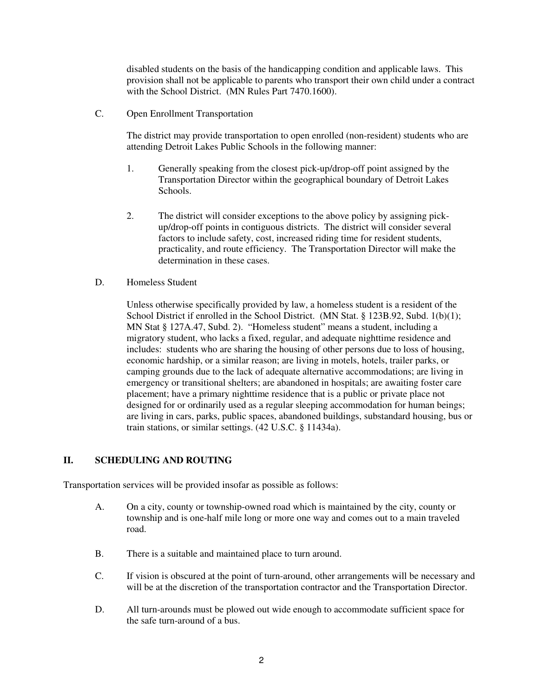disabled students on the basis of the handicapping condition and applicable laws. This provision shall not be applicable to parents who transport their own child under a contract with the School District. (MN Rules Part 7470.1600).

C. Open Enrollment Transportation

The district may provide transportation to open enrolled (non-resident) students who are attending Detroit Lakes Public Schools in the following manner:

- 1. Generally speaking from the closest pick-up/drop-off point assigned by the Transportation Director within the geographical boundary of Detroit Lakes Schools.
- 2. The district will consider exceptions to the above policy by assigning pickup/drop-off points in contiguous districts. The district will consider several factors to include safety, cost, increased riding time for resident students, practicality, and route efficiency. The Transportation Director will make the determination in these cases.
- D. Homeless Student

Unless otherwise specifically provided by law, a homeless student is a resident of the School District if enrolled in the School District. (MN Stat. § 123B.92, Subd. 1(b)(1); MN Stat § 127A.47, Subd. 2). "Homeless student" means a student, including a migratory student, who lacks a fixed, regular, and adequate nighttime residence and includes: students who are sharing the housing of other persons due to loss of housing, economic hardship, or a similar reason; are living in motels, hotels, trailer parks, or camping grounds due to the lack of adequate alternative accommodations; are living in emergency or transitional shelters; are abandoned in hospitals; are awaiting foster care placement; have a primary nighttime residence that is a public or private place not designed for or ordinarily used as a regular sleeping accommodation for human beings; are living in cars, parks, public spaces, abandoned buildings, substandard housing, bus or train stations, or similar settings. (42 U.S.C. § 11434a).

# **II. SCHEDULING AND ROUTING**

Transportation services will be provided insofar as possible as follows:

- A. On a city, county or township-owned road which is maintained by the city, county or township and is one-half mile long or more one way and comes out to a main traveled road.
- B. There is a suitable and maintained place to turn around.
- C. If vision is obscured at the point of turn-around, other arrangements will be necessary and will be at the discretion of the transportation contractor and the Transportation Director.
- D. All turn-arounds must be plowed out wide enough to accommodate sufficient space for the safe turn-around of a bus.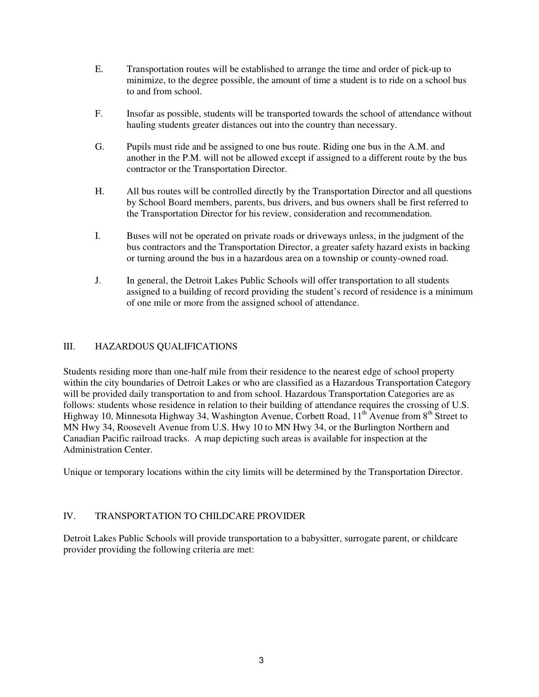- E. Transportation routes will be established to arrange the time and order of pick-up to minimize, to the degree possible, the amount of time a student is to ride on a school bus to and from school.
- F. Insofar as possible, students will be transported towards the school of attendance without hauling students greater distances out into the country than necessary.
- G. Pupils must ride and be assigned to one bus route. Riding one bus in the A.M. and another in the P.M. will not be allowed except if assigned to a different route by the bus contractor or the Transportation Director.
- H. All bus routes will be controlled directly by the Transportation Director and all questions by School Board members, parents, bus drivers, and bus owners shall be first referred to the Transportation Director for his review, consideration and recommendation.
- I. Buses will not be operated on private roads or driveways unless, in the judgment of the bus contractors and the Transportation Director, a greater safety hazard exists in backing or turning around the bus in a hazardous area on a township or county-owned road.
- J. In general, the Detroit Lakes Public Schools will offer transportation to all students assigned to a building of record providing the student's record of residence is a minimum of one mile or more from the assigned school of attendance.

# III. HAZARDOUS QUALIFICATIONS

Students residing more than one-half mile from their residence to the nearest edge of school property within the city boundaries of Detroit Lakes or who are classified as a Hazardous Transportation Category will be provided daily transportation to and from school. Hazardous Transportation Categories are as follows: students whose residence in relation to their building of attendance requires the crossing of U.S. Highway 10, Minnesota Highway 34, Washington Avenue, Corbett Road, 11<sup>th</sup> Avenue from 8<sup>th</sup> Street to MN Hwy 34, Roosevelt Avenue from U.S. Hwy 10 to MN Hwy 34, or the Burlington Northern and Canadian Pacific railroad tracks. A map depicting such areas is available for inspection at the Administration Center.

Unique or temporary locations within the city limits will be determined by the Transportation Director.

# IV. TRANSPORTATION TO CHILDCARE PROVIDER

Detroit Lakes Public Schools will provide transportation to a babysitter, surrogate parent, or childcare provider providing the following criteria are met: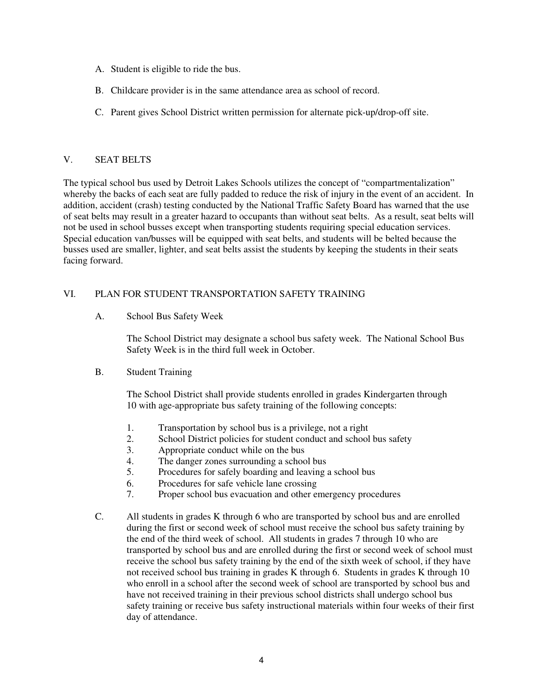- A. Student is eligible to ride the bus.
- B. Childcare provider is in the same attendance area as school of record.
- C. Parent gives School District written permission for alternate pick-up/drop-off site.

#### V. SEAT BELTS

The typical school bus used by Detroit Lakes Schools utilizes the concept of "compartmentalization" whereby the backs of each seat are fully padded to reduce the risk of injury in the event of an accident. In addition, accident (crash) testing conducted by the National Traffic Safety Board has warned that the use of seat belts may result in a greater hazard to occupants than without seat belts. As a result, seat belts will not be used in school busses except when transporting students requiring special education services. Special education van/busses will be equipped with seat belts, and students will be belted because the busses used are smaller, lighter, and seat belts assist the students by keeping the students in their seats facing forward.

#### VI. PLAN FOR STUDENT TRANSPORTATION SAFETY TRAINING

A. School Bus Safety Week

The School District may designate a school bus safety week. The National School Bus Safety Week is in the third full week in October.

B. Student Training

 The School District shall provide students enrolled in grades Kindergarten through 10 with age-appropriate bus safety training of the following concepts:

- 1. Transportation by school bus is a privilege, not a right
- 2. School District policies for student conduct and school bus safety
- 3. Appropriate conduct while on the bus
- 4. The danger zones surrounding a school bus
- 5. Procedures for safely boarding and leaving a school bus
- 6. Procedures for safe vehicle lane crossing
- 7. Proper school bus evacuation and other emergency procedures
- C. All students in grades K through 6 who are transported by school bus and are enrolled during the first or second week of school must receive the school bus safety training by the end of the third week of school. All students in grades 7 through 10 who are transported by school bus and are enrolled during the first or second week of school must receive the school bus safety training by the end of the sixth week of school, if they have not received school bus training in grades K through 6. Students in grades K through 10 who enroll in a school after the second week of school are transported by school bus and have not received training in their previous school districts shall undergo school bus safety training or receive bus safety instructional materials within four weeks of their first day of attendance.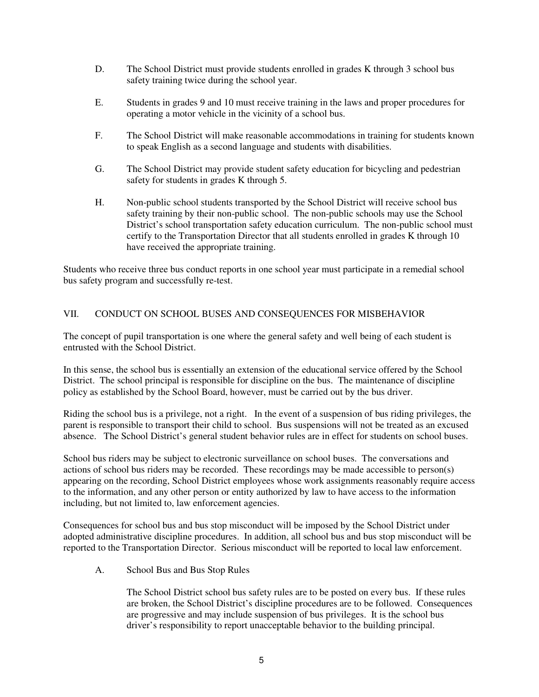- D. The School District must provide students enrolled in grades K through 3 school bus safety training twice during the school year.
- E. Students in grades 9 and 10 must receive training in the laws and proper procedures for operating a motor vehicle in the vicinity of a school bus.
- F. The School District will make reasonable accommodations in training for students known to speak English as a second language and students with disabilities.
- G. The School District may provide student safety education for bicycling and pedestrian safety for students in grades K through 5.
- H. Non-public school students transported by the School District will receive school bus safety training by their non-public school. The non-public schools may use the School District's school transportation safety education curriculum. The non-public school must certify to the Transportation Director that all students enrolled in grades K through 10 have received the appropriate training.

Students who receive three bus conduct reports in one school year must participate in a remedial school bus safety program and successfully re-test.

# VII. CONDUCT ON SCHOOL BUSES AND CONSEQUENCES FOR MISBEHAVIOR

The concept of pupil transportation is one where the general safety and well being of each student is entrusted with the School District.

In this sense, the school bus is essentially an extension of the educational service offered by the School District. The school principal is responsible for discipline on the bus. The maintenance of discipline policy as established by the School Board, however, must be carried out by the bus driver.

Riding the school bus is a privilege, not a right. In the event of a suspension of bus riding privileges, the parent is responsible to transport their child to school. Bus suspensions will not be treated as an excused absence. The School District's general student behavior rules are in effect for students on school buses.

School bus riders may be subject to electronic surveillance on school buses. The conversations and actions of school bus riders may be recorded. These recordings may be made accessible to person(s) appearing on the recording, School District employees whose work assignments reasonably require access to the information, and any other person or entity authorized by law to have access to the information including, but not limited to, law enforcement agencies.

Consequences for school bus and bus stop misconduct will be imposed by the School District under adopted administrative discipline procedures. In addition, all school bus and bus stop misconduct will be reported to the Transportation Director. Serious misconduct will be reported to local law enforcement.

A. School Bus and Bus Stop Rules

The School District school bus safety rules are to be posted on every bus. If these rules are broken, the School District's discipline procedures are to be followed. Consequences are progressive and may include suspension of bus privileges. It is the school bus driver's responsibility to report unacceptable behavior to the building principal.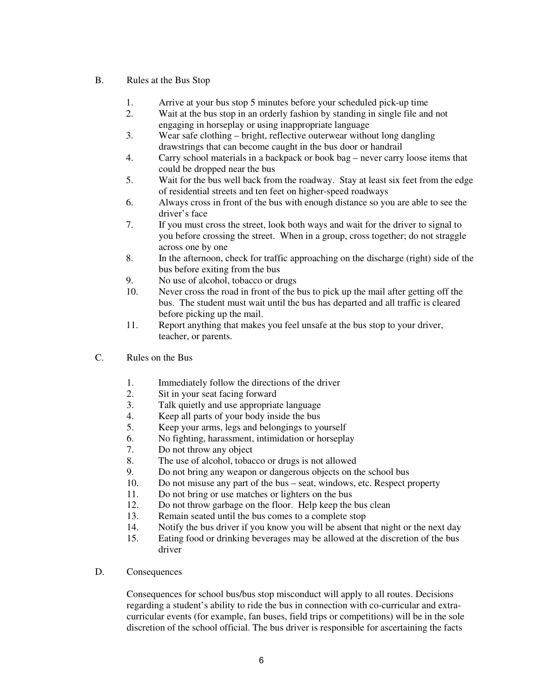#### B. Rules at the Bus Stop

- 1. Arrive at your bus stop 5 minutes before your scheduled pick-up time
- 2. Wait at the bus stop in an orderly fashion by standing in single file and not engaging in horseplay or using inappropriate language
- 3. Wear safe clothing bright, reflective outerwear without long dangling drawstrings that can become caught in the bus door or handrail
- 4. Carry school materials in a backpack or book bag never carry loose items that could be dropped near the bus
- 5. Wait for the bus well back from the roadway. Stay at least six feet from the edge of residential streets and ten feet on higher-speed roadways
- 6. Always cross in front of the bus with enough distance so you are able to see the driver's face
- 7. If you must cross the street, look both ways and wait for the driver to signal to you before crossing the street. When in a group, cross together; do not straggle across one by one
- 8. In the afternoon, check for traffic approaching on the discharge (right) side of the bus before exiting from the bus
- 9. No use of alcohol, tobacco or drugs
- 10. Never cross the road in front of the bus to pick up the mail after getting off the bus. The student must wait until the bus has departed and all traffic is cleared before picking up the mail.
- 11. Report anything that makes you feel unsafe at the bus stop to your driver, teacher, or parents.
- C. Rules on the Bus
	- 1. Immediately follow the directions of the driver<br>2. Sit in your seat facing forward
	- Sit in your seat facing forward
	- 3. Talk quietly and use appropriate language
	- 4. Keep all parts of your body inside the bus<br>5. Keep your arms, legs and belongings to your
	- Keep your arms, legs and belongings to yourself
	- 6. No fighting, harassment, intimidation or horseplay
	- 7. Do not throw any object
	- 8. The use of alcohol, tobacco or drugs is not allowed
	- 9. Do not bring any weapon or dangerous objects on the school bus
	- 10. Do not misuse any part of the bus seat, windows, etc. Respect property
	- 11. Do not bring or use matches or lighters on the bus
	- 12. Do not throw garbage on the floor. Help keep the bus clean
	- 13. Remain seated until the bus comes to a complete stop
	- 14. Notify the bus driver if you know you will be absent that night or the next day
	- 15. Eating food or drinking beverages may be allowed at the discretion of the bus driver
- D. Consequences

Consequences for school bus/bus stop misconduct will apply to all routes. Decisions regarding a student's ability to ride the bus in connection with co-curricular and extracurricular events (for example, fan buses, field trips or competitions) will be in the sole discretion of the school official. The bus driver is responsible for ascertaining the facts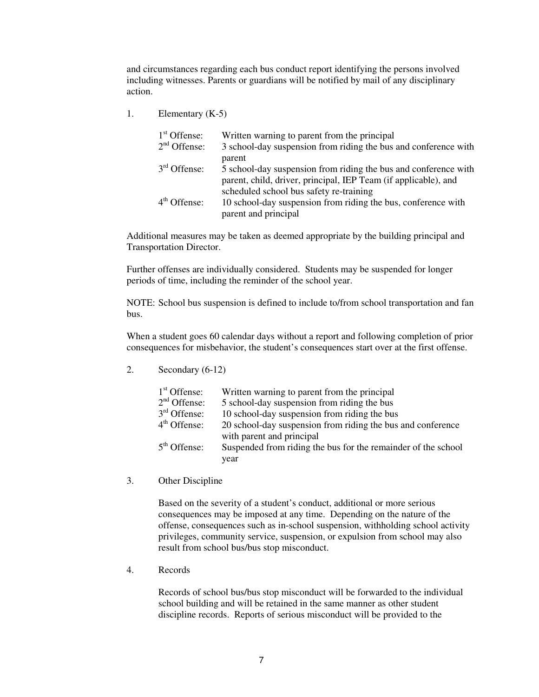and circumstances regarding each bus conduct report identifying the persons involved including witnesses. Parents or guardians will be notified by mail of any disciplinary action.

1. Elementary (K-5)

| $1st$ Offense: | Written warning to parent from the principal                    |
|----------------|-----------------------------------------------------------------|
| $2nd$ Offense: | 3 school-day suspension from riding the bus and conference with |
|                | parent                                                          |
| $3rd$ Offense: | 5 school-day suspension from riding the bus and conference with |
|                | parent, child, driver, principal, IEP Team (if applicable), and |
|                | scheduled school bus safety re-training                         |
| $4th$ Offense: | 10 school-day suspension from riding the bus, conference with   |
|                | parent and principal                                            |

Additional measures may be taken as deemed appropriate by the building principal and Transportation Director.

Further offenses are individually considered. Students may be suspended for longer periods of time, including the reminder of the school year.

NOTE: School bus suspension is defined to include to/from school transportation and fan bus.

When a student goes 60 calendar days without a report and following completion of prior consequences for misbehavior, the student's consequences start over at the first offense.

2. Secondary (6-12)

| $1st$ Offense: | Written warning to parent from the principal                  |
|----------------|---------------------------------------------------------------|
| $2nd$ Offense: | 5 school-day suspension from riding the bus                   |
| $3rd$ Offense: | 10 school-day suspension from riding the bus                  |
| $4th$ Offense: | 20 school-day suspension from riding the bus and conference   |
|                | with parent and principal                                     |
| $5th$ Offense: | Suspended from riding the bus for the remainder of the school |
|                | year                                                          |

3. Other Discipline

Based on the severity of a student's conduct, additional or more serious consequences may be imposed at any time. Depending on the nature of the offense, consequences such as in-school suspension, withholding school activity privileges, community service, suspension, or expulsion from school may also result from school bus/bus stop misconduct.

4. Records

Records of school bus/bus stop misconduct will be forwarded to the individual school building and will be retained in the same manner as other student discipline records. Reports of serious misconduct will be provided to the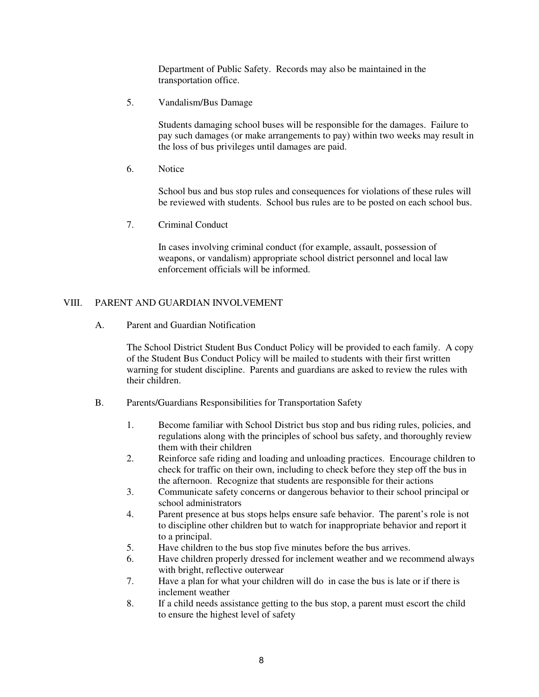Department of Public Safety. Records may also be maintained in the transportation office.

5. Vandalism/Bus Damage

Students damaging school buses will be responsible for the damages. Failure to pay such damages (or make arrangements to pay) within two weeks may result in the loss of bus privileges until damages are paid.

6. Notice

School bus and bus stop rules and consequences for violations of these rules will be reviewed with students. School bus rules are to be posted on each school bus.

7. Criminal Conduct

In cases involving criminal conduct (for example, assault, possession of weapons, or vandalism) appropriate school district personnel and local law enforcement officials will be informed.

#### VIII. PARENT AND GUARDIAN INVOLVEMENT

A. Parent and Guardian Notification

The School District Student Bus Conduct Policy will be provided to each family. A copy of the Student Bus Conduct Policy will be mailed to students with their first written warning for student discipline. Parents and guardians are asked to review the rules with their children.

- B. Parents/Guardians Responsibilities for Transportation Safety
	- 1. Become familiar with School District bus stop and bus riding rules, policies, and regulations along with the principles of school bus safety, and thoroughly review them with their children
	- 2. Reinforce safe riding and loading and unloading practices. Encourage children to check for traffic on their own, including to check before they step off the bus in the afternoon. Recognize that students are responsible for their actions
	- 3. Communicate safety concerns or dangerous behavior to their school principal or school administrators
	- 4. Parent presence at bus stops helps ensure safe behavior. The parent's role is not to discipline other children but to watch for inappropriate behavior and report it to a principal.
	- 5. Have children to the bus stop five minutes before the bus arrives.
	- 6. Have children properly dressed for inclement weather and we recommend always with bright, reflective outerwear
	- 7. Have a plan for what your children will do in case the bus is late or if there is inclement weather
	- 8. If a child needs assistance getting to the bus stop, a parent must escort the child to ensure the highest level of safety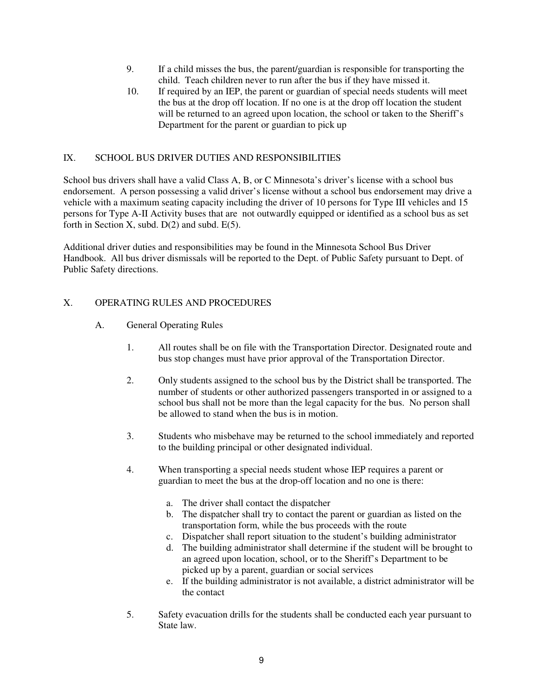- 9. If a child misses the bus, the parent/guardian is responsible for transporting the child. Teach children never to run after the bus if they have missed it.
- 10. If required by an IEP, the parent or guardian of special needs students will meet the bus at the drop off location. If no one is at the drop off location the student will be returned to an agreed upon location, the school or taken to the Sheriff's Department for the parent or guardian to pick up

#### IX. SCHOOL BUS DRIVER DUTIES AND RESPONSIBILITIES

School bus drivers shall have a valid Class A, B, or C Minnesota's driver's license with a school bus endorsement. A person possessing a valid driver's license without a school bus endorsement may drive a vehicle with a maximum seating capacity including the driver of 10 persons for Type III vehicles and 15 persons for Type A-II Activity buses that are not outwardly equipped or identified as a school bus as set forth in Section X, subd.  $D(2)$  and subd.  $E(5)$ .

Additional driver duties and responsibilities may be found in the Minnesota School Bus Driver Handbook. All bus driver dismissals will be reported to the Dept. of Public Safety pursuant to Dept. of Public Safety directions.

#### X. OPERATING RULES AND PROCEDURES

- A. General Operating Rules
	- 1. All routes shall be on file with the Transportation Director. Designated route and bus stop changes must have prior approval of the Transportation Director.
	- 2. Only students assigned to the school bus by the District shall be transported. The number of students or other authorized passengers transported in or assigned to a school bus shall not be more than the legal capacity for the bus. No person shall be allowed to stand when the bus is in motion.
	- 3. Students who misbehave may be returned to the school immediately and reported to the building principal or other designated individual.
	- 4. When transporting a special needs student whose IEP requires a parent or guardian to meet the bus at the drop-off location and no one is there:
		- a. The driver shall contact the dispatcher
		- b. The dispatcher shall try to contact the parent or guardian as listed on the transportation form, while the bus proceeds with the route
		- c. Dispatcher shall report situation to the student's building administrator
		- d. The building administrator shall determine if the student will be brought to an agreed upon location, school, or to the Sheriff's Department to be picked up by a parent, guardian or social services
		- e. If the building administrator is not available, a district administrator will be the contact
	- 5. Safety evacuation drills for the students shall be conducted each year pursuant to State law.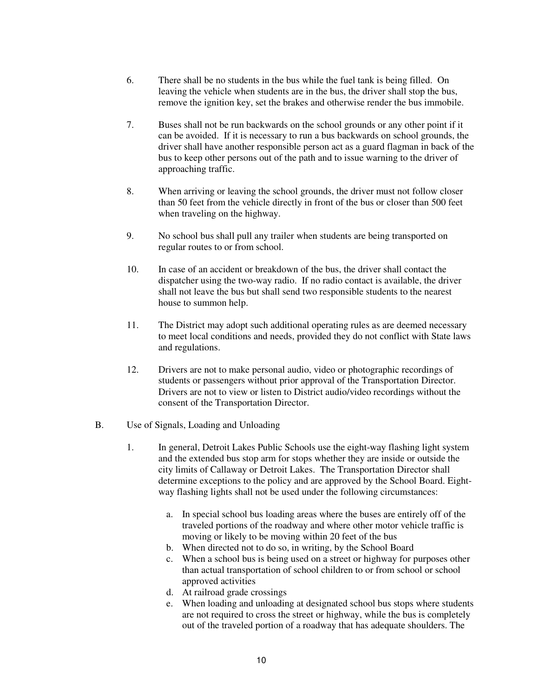- 6. There shall be no students in the bus while the fuel tank is being filled. On leaving the vehicle when students are in the bus, the driver shall stop the bus, remove the ignition key, set the brakes and otherwise render the bus immobile.
- 7. Buses shall not be run backwards on the school grounds or any other point if it can be avoided. If it is necessary to run a bus backwards on school grounds, the driver shall have another responsible person act as a guard flagman in back of the bus to keep other persons out of the path and to issue warning to the driver of approaching traffic.
- 8. When arriving or leaving the school grounds, the driver must not follow closer than 50 feet from the vehicle directly in front of the bus or closer than 500 feet when traveling on the highway.
- 9. No school bus shall pull any trailer when students are being transported on regular routes to or from school.
- 10. In case of an accident or breakdown of the bus, the driver shall contact the dispatcher using the two-way radio. If no radio contact is available, the driver shall not leave the bus but shall send two responsible students to the nearest house to summon help.
- 11. The District may adopt such additional operating rules as are deemed necessary to meet local conditions and needs, provided they do not conflict with State laws and regulations.
- 12. Drivers are not to make personal audio, video or photographic recordings of students or passengers without prior approval of the Transportation Director. Drivers are not to view or listen to District audio/video recordings without the consent of the Transportation Director.
- B. Use of Signals, Loading and Unloading
	- 1. In general, Detroit Lakes Public Schools use the eight-way flashing light system and the extended bus stop arm for stops whether they are inside or outside the city limits of Callaway or Detroit Lakes. The Transportation Director shall determine exceptions to the policy and are approved by the School Board. Eightway flashing lights shall not be used under the following circumstances:
		- a. In special school bus loading areas where the buses are entirely off of the traveled portions of the roadway and where other motor vehicle traffic is moving or likely to be moving within 20 feet of the bus
		- b. When directed not to do so, in writing, by the School Board
		- c. When a school bus is being used on a street or highway for purposes other than actual transportation of school children to or from school or school approved activities
		- d. At railroad grade crossings
		- e. When loading and unloading at designated school bus stops where students are not required to cross the street or highway, while the bus is completely out of the traveled portion of a roadway that has adequate shoulders. The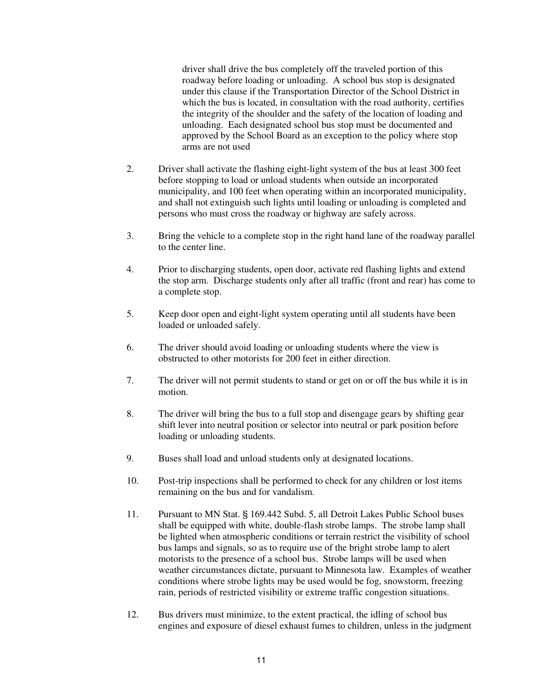driver shall drive the bus completely off the traveled portion of this roadway before loading or unloading. A school bus stop is designated under this clause if the Transportation Director of the School District in which the bus is located, in consultation with the road authority, certifies the integrity of the shoulder and the safety of the location of loading and unloading. Each designated school bus stop must be documented and approved by the School Board as an exception to the policy where stop arms are not used

- 2. Driver shall activate the flashing eight-light system of the bus at least 300 feet before stopping to load or unload students when outside an incorporated municipality, and 100 feet when operating within an incorporated municipality, and shall not extinguish such lights until loading or unloading is completed and persons who must cross the roadway or highway are safely across.
- 3. Bring the vehicle to a complete stop in the right hand lane of the roadway parallel to the center line.
- 4. Prior to discharging students, open door, activate red flashing lights and extend the stop arm. Discharge students only after all traffic (front and rear) has come to a complete stop.
- 5. Keep door open and eight-light system operating until all students have been loaded or unloaded safely.
- 6. The driver should avoid loading or unloading students where the view is obstructed to other motorists for 200 feet in either direction.
- 7. The driver will not permit students to stand or get on or off the bus while it is in motion.
- 8. The driver will bring the bus to a full stop and disengage gears by shifting gear shift lever into neutral position or selector into neutral or park position before loading or unloading students.
- 9. Buses shall load and unload students only at designated locations.
- 10. Post-trip inspections shall be performed to check for any children or lost items remaining on the bus and for vandalism.
- 11. Pursuant to MN Stat. § 169.442 Subd. 5, all Detroit Lakes Public School buses shall be equipped with white, double-flash strobe lamps. The strobe lamp shall be lighted when atmospheric conditions or terrain restrict the visibility of school bus lamps and signals, so as to require use of the bright strobe lamp to alert motorists to the presence of a school bus. Strobe lamps will be used when weather circumstances dictate, pursuant to Minnesota law. Examples of weather conditions where strobe lights may be used would be fog, snowstorm, freezing rain, periods of restricted visibility or extreme traffic congestion situations.
- 12. Bus drivers must minimize, to the extent practical, the idling of school bus engines and exposure of diesel exhaust fumes to children, unless in the judgment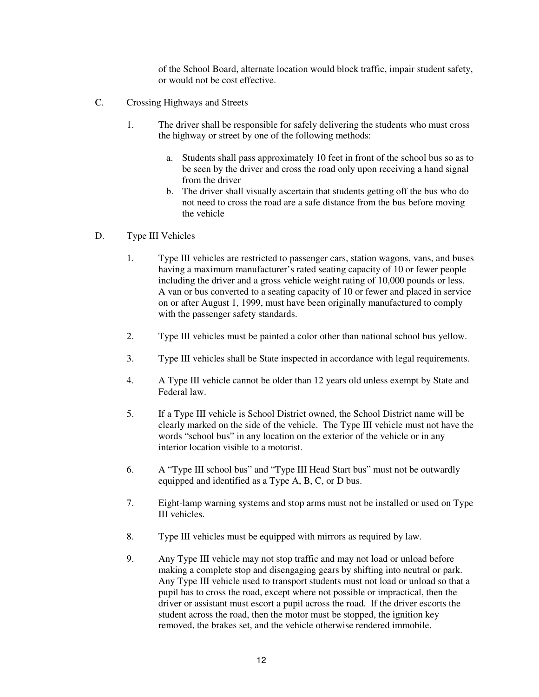of the School Board, alternate location would block traffic, impair student safety, or would not be cost effective.

- C. Crossing Highways and Streets
	- 1. The driver shall be responsible for safely delivering the students who must cross the highway or street by one of the following methods:
		- a. Students shall pass approximately 10 feet in front of the school bus so as to be seen by the driver and cross the road only upon receiving a hand signal from the driver
		- b. The driver shall visually ascertain that students getting off the bus who do not need to cross the road are a safe distance from the bus before moving the vehicle
- D. Type III Vehicles
	- 1. Type III vehicles are restricted to passenger cars, station wagons, vans, and buses having a maximum manufacturer's rated seating capacity of 10 or fewer people including the driver and a gross vehicle weight rating of 10,000 pounds or less. A van or bus converted to a seating capacity of 10 or fewer and placed in service on or after August 1, 1999, must have been originally manufactured to comply with the passenger safety standards.
	- 2. Type III vehicles must be painted a color other than national school bus yellow.
	- 3. Type III vehicles shall be State inspected in accordance with legal requirements.
	- 4. A Type III vehicle cannot be older than 12 years old unless exempt by State and Federal law.
	- 5. If a Type III vehicle is School District owned, the School District name will be clearly marked on the side of the vehicle. The Type III vehicle must not have the words "school bus" in any location on the exterior of the vehicle or in any interior location visible to a motorist.
	- 6. A "Type III school bus" and "Type III Head Start bus" must not be outwardly equipped and identified as a Type A, B, C, or D bus.
	- 7. Eight-lamp warning systems and stop arms must not be installed or used on Type III vehicles.
	- 8. Type III vehicles must be equipped with mirrors as required by law.
	- 9. Any Type III vehicle may not stop traffic and may not load or unload before making a complete stop and disengaging gears by shifting into neutral or park. Any Type III vehicle used to transport students must not load or unload so that a pupil has to cross the road, except where not possible or impractical, then the driver or assistant must escort a pupil across the road. If the driver escorts the student across the road, then the motor must be stopped, the ignition key removed, the brakes set, and the vehicle otherwise rendered immobile.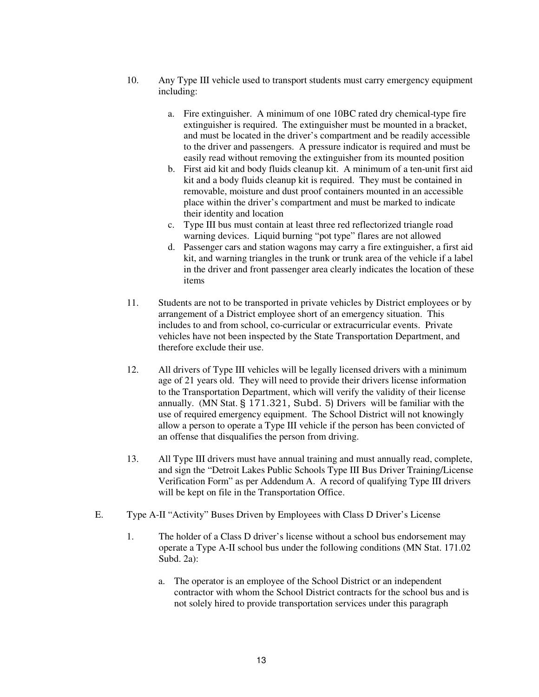- 10. Any Type III vehicle used to transport students must carry emergency equipment including:
	- a. Fire extinguisher. A minimum of one 10BC rated dry chemical-type fire extinguisher is required. The extinguisher must be mounted in a bracket, and must be located in the driver's compartment and be readily accessible to the driver and passengers. A pressure indicator is required and must be easily read without removing the extinguisher from its mounted position
	- b. First aid kit and body fluids cleanup kit. A minimum of a ten-unit first aid kit and a body fluids cleanup kit is required. They must be contained in removable, moisture and dust proof containers mounted in an accessible place within the driver's compartment and must be marked to indicate their identity and location
	- c. Type III bus must contain at least three red reflectorized triangle road warning devices. Liquid burning "pot type" flares are not allowed
	- d. Passenger cars and station wagons may carry a fire extinguisher, a first aid kit, and warning triangles in the trunk or trunk area of the vehicle if a label in the driver and front passenger area clearly indicates the location of these items
- 11. Students are not to be transported in private vehicles by District employees or by arrangement of a District employee short of an emergency situation. This includes to and from school, co-curricular or extracurricular events. Private vehicles have not been inspected by the State Transportation Department, and therefore exclude their use.
- 12. All drivers of Type III vehicles will be legally licensed drivers with a minimum age of 21 years old. They will need to provide their drivers license information to the Transportation Department, which will verify the validity of their license annually. (MN Stat. § 171.321, Subd. 5) Drivers will be familiar with the use of required emergency equipment. The School District will not knowingly allow a person to operate a Type III vehicle if the person has been convicted of an offense that disqualifies the person from driving.
- 13. All Type III drivers must have annual training and must annually read, complete, and sign the "Detroit Lakes Public Schools Type III Bus Driver Training/License Verification Form" as per Addendum A. A record of qualifying Type III drivers will be kept on file in the Transportation Office.
- E. Type A-II "Activity" Buses Driven by Employees with Class D Driver's License
	- 1. The holder of a Class D driver's license without a school bus endorsement may operate a Type A-II school bus under the following conditions (MN Stat. 171.02 Subd. 2a):
		- a. The operator is an employee of the School District or an independent contractor with whom the School District contracts for the school bus and is not solely hired to provide transportation services under this paragraph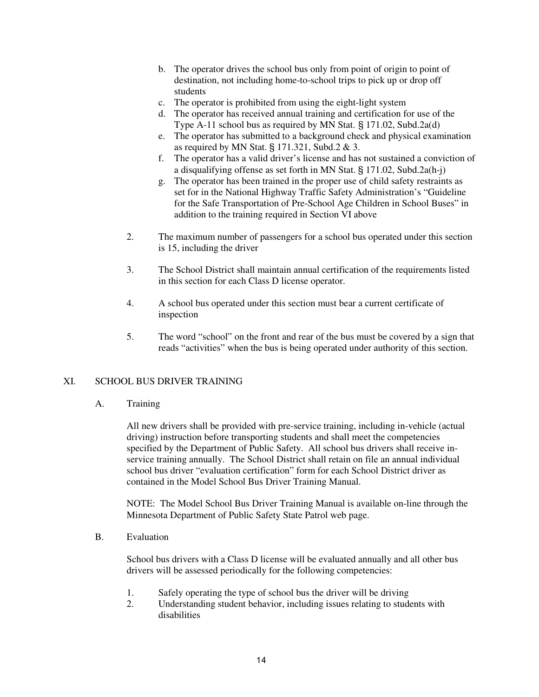- b. The operator drives the school bus only from point of origin to point of destination, not including home-to-school trips to pick up or drop off students
- c. The operator is prohibited from using the eight-light system
- d. The operator has received annual training and certification for use of the Type A-11 school bus as required by MN Stat. § 171.02, Subd.2a(d)
- e. The operator has submitted to a background check and physical examination as required by MN Stat. § 171.321, Subd.2 & 3.
- f. The operator has a valid driver's license and has not sustained a conviction of a disqualifying offense as set forth in MN Stat. § 171.02, Subd.2a(h-j)
- g. The operator has been trained in the proper use of child safety restraints as set for in the National Highway Traffic Safety Administration's "Guideline for the Safe Transportation of Pre-School Age Children in School Buses" in addition to the training required in Section VI above
- 2. The maximum number of passengers for a school bus operated under this section is 15, including the driver
- 3. The School District shall maintain annual certification of the requirements listed in this section for each Class D license operator.
- 4. A school bus operated under this section must bear a current certificate of inspection
- 5. The word "school" on the front and rear of the bus must be covered by a sign that reads "activities" when the bus is being operated under authority of this section.

# XI. SCHOOL BUS DRIVER TRAINING

A. Training

All new drivers shall be provided with pre-service training, including in-vehicle (actual driving) instruction before transporting students and shall meet the competencies specified by the Department of Public Safety. All school bus drivers shall receive inservice training annually. The School District shall retain on file an annual individual school bus driver "evaluation certification" form for each School District driver as contained in the Model School Bus Driver Training Manual.

NOTE: The Model School Bus Driver Training Manual is available on-line through the Minnesota Department of Public Safety State Patrol web page.

B. Evaluation

School bus drivers with a Class D license will be evaluated annually and all other bus drivers will be assessed periodically for the following competencies:

- 1. Safely operating the type of school bus the driver will be driving
- 2. Understanding student behavior, including issues relating to students with disabilities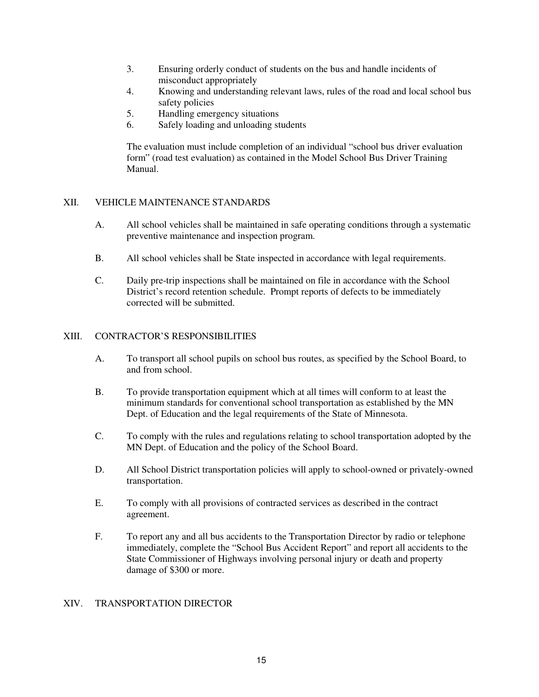- 3. Ensuring orderly conduct of students on the bus and handle incidents of misconduct appropriately
- 4. Knowing and understanding relevant laws, rules of the road and local school bus safety policies
- 5. Handling emergency situations
- 6. Safely loading and unloading students

The evaluation must include completion of an individual "school bus driver evaluation form" (road test evaluation) as contained in the Model School Bus Driver Training Manual.

#### XII. VEHICLE MAINTENANCE STANDARDS

- A. All school vehicles shall be maintained in safe operating conditions through a systematic preventive maintenance and inspection program.
- B. All school vehicles shall be State inspected in accordance with legal requirements.
- C. Daily pre-trip inspections shall be maintained on file in accordance with the School District's record retention schedule. Prompt reports of defects to be immediately corrected will be submitted.

#### XIII. CONTRACTOR'S RESPONSIBILITIES

- A. To transport all school pupils on school bus routes, as specified by the School Board, to and from school.
- B. To provide transportation equipment which at all times will conform to at least the minimum standards for conventional school transportation as established by the MN Dept. of Education and the legal requirements of the State of Minnesota.
- C. To comply with the rules and regulations relating to school transportation adopted by the MN Dept. of Education and the policy of the School Board.
- D. All School District transportation policies will apply to school-owned or privately-owned transportation.
- E. To comply with all provisions of contracted services as described in the contract agreement.
- F. To report any and all bus accidents to the Transportation Director by radio or telephone immediately, complete the "School Bus Accident Report" and report all accidents to the State Commissioner of Highways involving personal injury or death and property damage of \$300 or more.

#### XIV. TRANSPORTATION DIRECTOR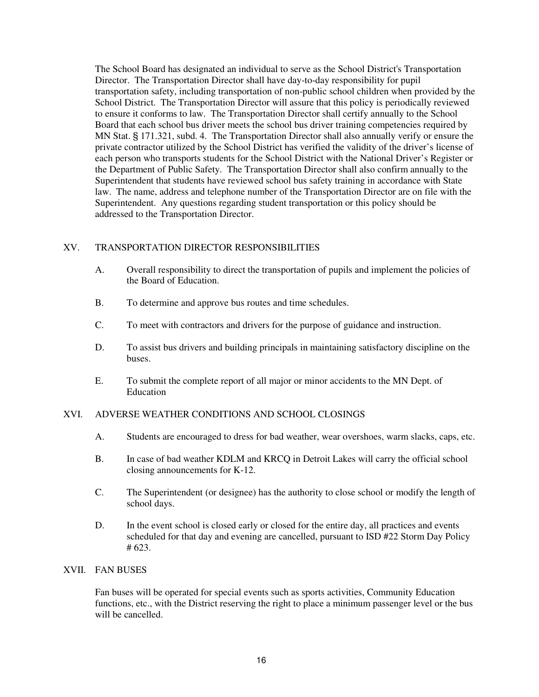The School Board has designated an individual to serve as the School District's Transportation Director. The Transportation Director shall have day-to-day responsibility for pupil transportation safety, including transportation of non-public school children when provided by the School District. The Transportation Director will assure that this policy is periodically reviewed to ensure it conforms to law. The Transportation Director shall certify annually to the School Board that each school bus driver meets the school bus driver training competencies required by MN Stat. § 171.321, subd. 4. The Transportation Director shall also annually verify or ensure the private contractor utilized by the School District has verified the validity of the driver's license of each person who transports students for the School District with the National Driver's Register or the Department of Public Safety. The Transportation Director shall also confirm annually to the Superintendent that students have reviewed school bus safety training in accordance with State law. The name, address and telephone number of the Transportation Director are on file with the Superintendent. Any questions regarding student transportation or this policy should be addressed to the Transportation Director.

#### XV. TRANSPORTATION DIRECTOR RESPONSIBILITIES

- A. Overall responsibility to direct the transportation of pupils and implement the policies of the Board of Education.
- B. To determine and approve bus routes and time schedules.
- C. To meet with contractors and drivers for the purpose of guidance and instruction.
- D. To assist bus drivers and building principals in maintaining satisfactory discipline on the buses.
- E. To submit the complete report of all major or minor accidents to the MN Dept. of Education

#### XVI. ADVERSE WEATHER CONDITIONS AND SCHOOL CLOSINGS

- A. Students are encouraged to dress for bad weather, wear overshoes, warm slacks, caps, etc.
- B. In case of bad weather KDLM and KRCQ in Detroit Lakes will carry the official school closing announcements for K-12.
- C. The Superintendent (or designee) has the authority to close school or modify the length of school days.
- D. In the event school is closed early or closed for the entire day, all practices and events scheduled for that day and evening are cancelled, pursuant to ISD #22 Storm Day Policy # 623.

#### XVII. FAN BUSES

Fan buses will be operated for special events such as sports activities, Community Education functions, etc., with the District reserving the right to place a minimum passenger level or the bus will be cancelled.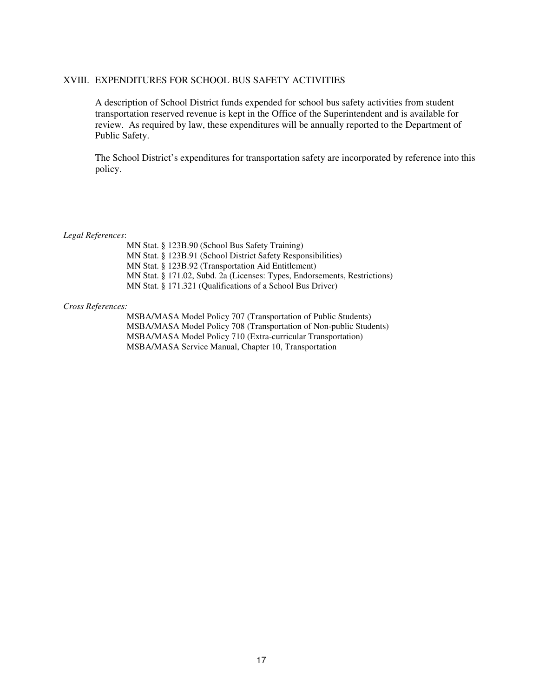#### XVIII. EXPENDITURES FOR SCHOOL BUS SAFETY ACTIVITIES

A description of School District funds expended for school bus safety activities from student transportation reserved revenue is kept in the Office of the Superintendent and is available for review. As required by law, these expenditures will be annually reported to the Department of Public Safety.

The School District's expenditures for transportation safety are incorporated by reference into this policy.

#### *Legal References*:

 MN Stat. § 123B.90 (School Bus Safety Training) MN Stat. § 123B.91 (School District Safety Responsibilities) MN Stat. § 123B.92 (Transportation Aid Entitlement) MN Stat. § 171.02, Subd. 2a (Licenses: Types, Endorsements, Restrictions) MN Stat. § 171.321 (Qualifications of a School Bus Driver)

#### *Cross References:*

 MSBA/MASA Model Policy 707 (Transportation of Public Students) MSBA/MASA Model Policy 708 (Transportation of Non-public Students) MSBA/MASA Model Policy 710 (Extra-curricular Transportation) MSBA/MASA Service Manual, Chapter 10, Transportation